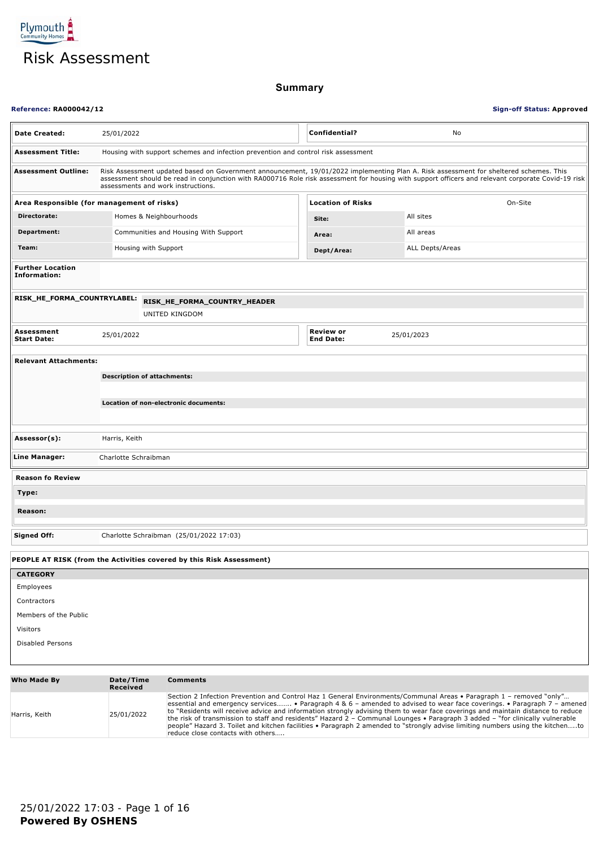

**Summary**

| <b>Reference: RA000042/12</b>                  |                                                                                                                                                                                                                                                                                                                                   |                                                                      |  | <b>Sign-off Status: Approved</b>     |                        |
|------------------------------------------------|-----------------------------------------------------------------------------------------------------------------------------------------------------------------------------------------------------------------------------------------------------------------------------------------------------------------------------------|----------------------------------------------------------------------|--|--------------------------------------|------------------------|
| <b>Date Created:</b>                           | <b>Confidential?</b><br>25/01/2022<br>No                                                                                                                                                                                                                                                                                          |                                                                      |  |                                      |                        |
| <b>Assessment Title:</b>                       | Housing with support schemes and infection prevention and control risk assessment                                                                                                                                                                                                                                                 |                                                                      |  |                                      |                        |
| <b>Assessment Outline:</b>                     | Risk Assessment updated based on Government announcement, 19/01/2022 implementing Plan A. Risk assessment for sheltered schemes. This<br>assessment should be read in conjunction with RA000716 Role risk assessment for housing with support officers and relevant corporate Covid-19 risk<br>assessments and work instructions. |                                                                      |  |                                      |                        |
| Area Responsible (for management of risks)     |                                                                                                                                                                                                                                                                                                                                   |                                                                      |  | <b>Location of Risks</b>             | On-Site                |
| Directorate:                                   |                                                                                                                                                                                                                                                                                                                                   | Homes & Neighbourhoods                                               |  | Site:                                | All sites              |
| Department:                                    |                                                                                                                                                                                                                                                                                                                                   | Communities and Housing With Support                                 |  | Area:                                | All areas              |
| Team:                                          |                                                                                                                                                                                                                                                                                                                                   | Housing with Support                                                 |  | Dept/Area:                           | <b>ALL Depts/Areas</b> |
| <b>Further Location</b><br><b>Information:</b> |                                                                                                                                                                                                                                                                                                                                   |                                                                      |  |                                      |                        |
| RISK_HE_FORMA_COUNTRYLABEL:                    |                                                                                                                                                                                                                                                                                                                                   | RISK_HE_FORMA_COUNTRY_HEADER                                         |  |                                      |                        |
|                                                |                                                                                                                                                                                                                                                                                                                                   | UNITED KINGDOM                                                       |  |                                      |                        |
| <b>Assessment</b><br><b>Start Date:</b>        | 25/01/2022                                                                                                                                                                                                                                                                                                                        |                                                                      |  | <b>Review or</b><br><b>End Date:</b> | 25/01/2023             |
| <b>Relevant Attachments:</b>                   |                                                                                                                                                                                                                                                                                                                                   |                                                                      |  |                                      |                        |
|                                                |                                                                                                                                                                                                                                                                                                                                   | <b>Description of attachments:</b>                                   |  |                                      |                        |
|                                                |                                                                                                                                                                                                                                                                                                                                   |                                                                      |  |                                      |                        |
|                                                |                                                                                                                                                                                                                                                                                                                                   | Location of non-electronic documents:                                |  |                                      |                        |
| Assessor(s):                                   | Harris, Keith                                                                                                                                                                                                                                                                                                                     |                                                                      |  |                                      |                        |
| Line Manager:                                  | Charlotte Schraibman                                                                                                                                                                                                                                                                                                              |                                                                      |  |                                      |                        |
| <b>Reason fo Review</b>                        |                                                                                                                                                                                                                                                                                                                                   |                                                                      |  |                                      |                        |
| Type:                                          |                                                                                                                                                                                                                                                                                                                                   |                                                                      |  |                                      |                        |
| Reason:                                        |                                                                                                                                                                                                                                                                                                                                   |                                                                      |  |                                      |                        |
| <b>Signed Off:</b>                             |                                                                                                                                                                                                                                                                                                                                   | Charlotte Schraibman (25/01/2022 17:03)                              |  |                                      |                        |
|                                                |                                                                                                                                                                                                                                                                                                                                   | PEOPLE AT RISK (from the Activities covered by this Risk Assessment) |  |                                      |                        |
| <b>CATEGORY</b>                                |                                                                                                                                                                                                                                                                                                                                   |                                                                      |  |                                      |                        |
| Employees                                      |                                                                                                                                                                                                                                                                                                                                   |                                                                      |  |                                      |                        |
| Contractors                                    |                                                                                                                                                                                                                                                                                                                                   |                                                                      |  |                                      |                        |
| Members of the Public                          |                                                                                                                                                                                                                                                                                                                                   |                                                                      |  |                                      |                        |
| Visitors                                       |                                                                                                                                                                                                                                                                                                                                   |                                                                      |  |                                      |                        |
| Disabled Persons                               |                                                                                                                                                                                                                                                                                                                                   |                                                                      |  |                                      |                        |
|                                                |                                                                                                                                                                                                                                                                                                                                   |                                                                      |  |                                      |                        |

| Who Made By   | Date/Time<br>Received | <b>Comments</b>                                                                                                                                                                                                                                                                                                                                                                                                                                                                                                                                                                                                                                                                            |
|---------------|-----------------------|--------------------------------------------------------------------------------------------------------------------------------------------------------------------------------------------------------------------------------------------------------------------------------------------------------------------------------------------------------------------------------------------------------------------------------------------------------------------------------------------------------------------------------------------------------------------------------------------------------------------------------------------------------------------------------------------|
| Harris, Keith | 25/01/2022            | Section 2 Infection Prevention and Control Haz 1 General Environments/Communal Areas • Paragraph 1 - removed "only"<br>essential and emergency services • Paragraph 4 & 6 - amended to advised to wear face coverings. • Paragraph 7 - amened<br>to "Residents will receive advice and information strongly advising them to wear face coverings and maintain distance to reduce<br>the risk of transmission to staff and residents" Hazard $2$ – Communal Lounges • Paragraph 3 added – "for clinically vulnerable<br>people" Hazard 3. Toilet and kitchen facilities • Paragraph 2 amended to "strongly advise limiting numbers using the kitchento<br>reduce close contacts with others |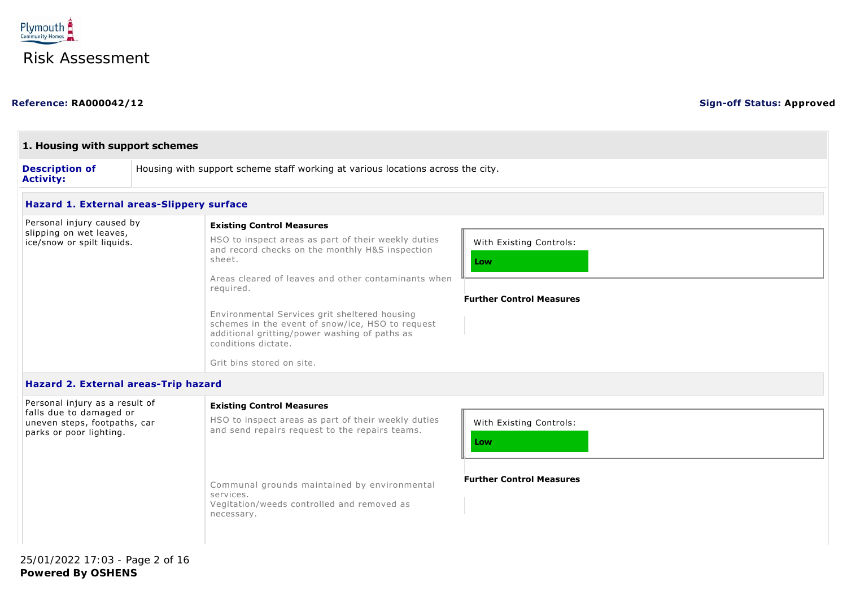

#### **Reference: RA000042/12 Sign-off Status: Approved**

| 1. Housing with support schemes                           |                                                                                 |                                                                                                                                                                                                                                                                                                                                                                                                |                                                                   |  |
|-----------------------------------------------------------|---------------------------------------------------------------------------------|------------------------------------------------------------------------------------------------------------------------------------------------------------------------------------------------------------------------------------------------------------------------------------------------------------------------------------------------------------------------------------------------|-------------------------------------------------------------------|--|
| <b>Description of</b><br><b>Activity:</b>                 | Housing with support scheme staff working at various locations across the city. |                                                                                                                                                                                                                                                                                                                                                                                                |                                                                   |  |
| Hazard 1. External areas-Slippery surface                 |                                                                                 |                                                                                                                                                                                                                                                                                                                                                                                                |                                                                   |  |
| Personal injury caused by                                 |                                                                                 | <b>Existing Control Measures</b>                                                                                                                                                                                                                                                                                                                                                               |                                                                   |  |
| slipping on wet leaves,<br>ice/snow or spilt liquids.     |                                                                                 | HSO to inspect areas as part of their weekly duties<br>and record checks on the monthly H&S inspection<br>sheet.<br>Areas cleared of leaves and other contaminants when<br>required.<br>Environmental Services grit sheltered housing<br>schemes in the event of snow/ice, HSO to request<br>additional gritting/power washing of paths as<br>conditions dictate.<br>Grit bins stored on site. | With Existing Controls:<br>Low<br><b>Further Control Measures</b> |  |
| Hazard 2. External areas-Trip hazard                      |                                                                                 |                                                                                                                                                                                                                                                                                                                                                                                                |                                                                   |  |
| Personal injury as a result of<br>falle due te damaged eu |                                                                                 | <b>Existing Control Measures</b>                                                                                                                                                                                                                                                                                                                                                               |                                                                   |  |

| Personal injury as a result of<br>falls due to damaged or<br>uneven steps, footpaths, car<br>parks or poor lighting. | <b>Existing Control Measures</b><br>HSO to inspect areas as part of their weekly duties<br>and send repairs request to the repairs teams. | With Existing Controls:<br>Low  |
|----------------------------------------------------------------------------------------------------------------------|-------------------------------------------------------------------------------------------------------------------------------------------|---------------------------------|
|                                                                                                                      | Communal grounds maintained by environmental<br>services.<br>Vegitation/weeds controlled and removed as<br>necessary.                     | <b>Further Control Measures</b> |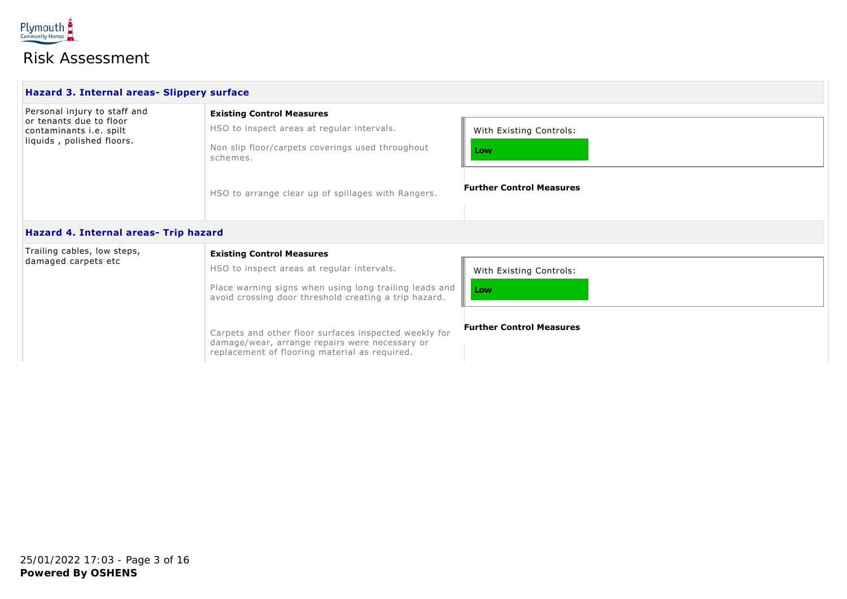

| Hazard 3. Internal areas- Slippery surface                                                                             |                                                                                                                                                |                                                                   |  |  |
|------------------------------------------------------------------------------------------------------------------------|------------------------------------------------------------------------------------------------------------------------------------------------|-------------------------------------------------------------------|--|--|
| Personal injury to staff and<br>or tenants due to floor<br>contaminants <i>i.e.</i> spilt<br>liquids, polished floors. | <b>Existing Control Measures</b><br>HSO to inspect areas at regular intervals.<br>Non slip floor/carpets coverings used throughout<br>schemes. | With Existing Controls:<br>Low<br><b>Further Control Measures</b> |  |  |
| Hazard 4. Internal areas- Trip hazard                                                                                  | HSO to arrange clear up of spillages with Rangers.                                                                                             |                                                                   |  |  |
| Trailing cables low stens                                                                                              | The fact the contraction of the company of the contract of the contract of the contract of the contract of the                                 |                                                                   |  |  |

| Trailing cables, low steps, | <b>Existing Control Measures</b>                                                                                                                         |                                 |  |  |
|-----------------------------|----------------------------------------------------------------------------------------------------------------------------------------------------------|---------------------------------|--|--|
| damaged carpets etc         | HSO to inspect areas at regular intervals.                                                                                                               | With Existing Controls:         |  |  |
|                             | Place warning signs when using long trailing leads and<br>avoid crossing door threshold creating a trip hazard.                                          | Low                             |  |  |
|                             | Carpets and other floor surfaces inspected weekly for<br>damage/wear, arrange repairs were necessary or<br>replacement of flooring material as required. | <b>Further Control Measures</b> |  |  |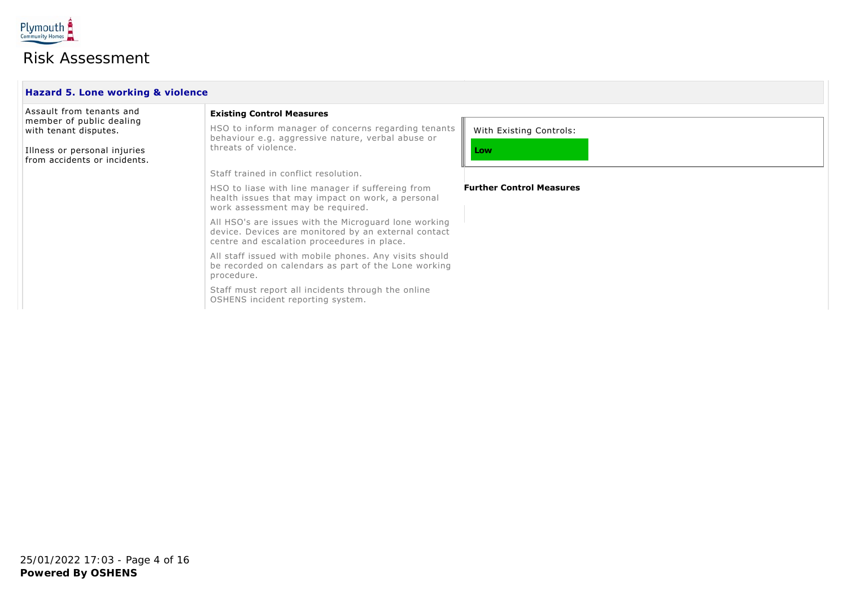

| Hazard 5. Lone working & violence                            |                                                                                                                                                              |                                 |  |  |
|--------------------------------------------------------------|--------------------------------------------------------------------------------------------------------------------------------------------------------------|---------------------------------|--|--|
| Assault from tenants and                                     | <b>Existing Control Measures</b>                                                                                                                             |                                 |  |  |
| member of public dealing<br>with tenant disputes.            | HSO to inform manager of concerns regarding tenants<br>behaviour e.g. aggressive nature, verbal abuse or                                                     | With Existing Controls:         |  |  |
| Illness or personal injuries<br>from accidents or incidents. | threats of violence.                                                                                                                                         | Low                             |  |  |
|                                                              | Staff trained in conflict resolution.                                                                                                                        |                                 |  |  |
|                                                              | HSO to liase with line manager if suffereing from<br>health issues that may impact on work, a personal<br>work assessment may be required.                   | <b>Further Control Measures</b> |  |  |
|                                                              | All HSO's are issues with the Microguard lone working<br>device. Devices are monitored by an external contact<br>centre and escalation proceedures in place. |                                 |  |  |
|                                                              | All staff issued with mobile phones. Any visits should<br>be recorded on calendars as part of the Lone working<br>procedure.                                 |                                 |  |  |
|                                                              | Staff must report all incidents through the online<br>OSHENS incident reporting system.                                                                      |                                 |  |  |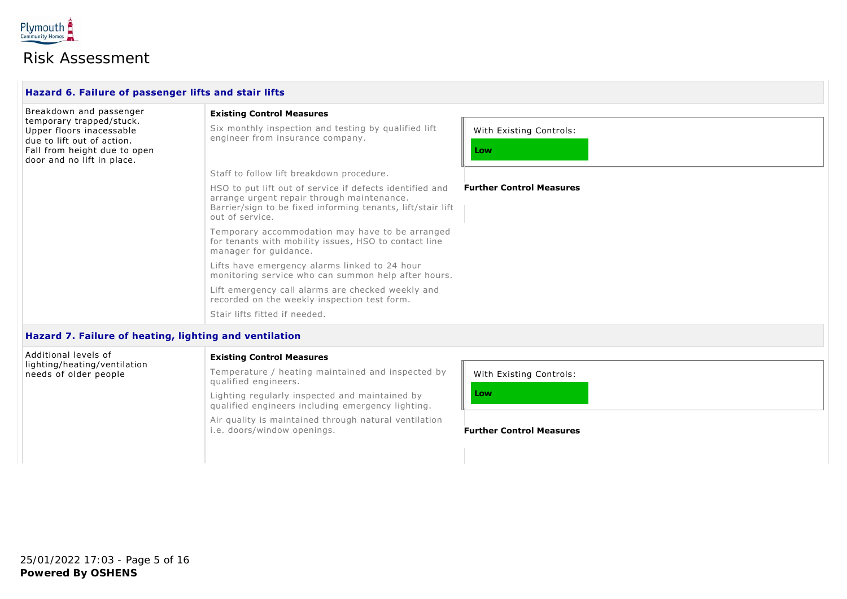

| Hazard 6. Failure of passenger lifts and stair lifts                               |                                                                                                                                                                                          |                                 |  |  |
|------------------------------------------------------------------------------------|------------------------------------------------------------------------------------------------------------------------------------------------------------------------------------------|---------------------------------|--|--|
| Breakdown and passenger                                                            | <b>Existing Control Measures</b>                                                                                                                                                         |                                 |  |  |
| temporary trapped/stuck.<br>Upper floors inacessable<br>due to lift out of action. | Six monthly inspection and testing by qualified lift<br>engineer from insurance company.                                                                                                 | With Existing Controls:         |  |  |
| Fall from height due to open<br>door and no lift in place.                         |                                                                                                                                                                                          | Low                             |  |  |
|                                                                                    | Staff to follow lift breakdown procedure.                                                                                                                                                |                                 |  |  |
|                                                                                    | HSO to put lift out of service if defects identified and<br>arrange urgent repair through maintenance.<br>Barrier/sign to be fixed informing tenants, lift/stair lift<br>out of service. | <b>Further Control Measures</b> |  |  |
|                                                                                    | Temporary accommodation may have to be arranged<br>for tenants with mobility issues, HSO to contact line<br>manager for guidance.                                                        |                                 |  |  |
|                                                                                    | Lifts have emergency alarms linked to 24 hour<br>monitoring service who can summon help after hours.                                                                                     |                                 |  |  |
|                                                                                    | Lift emergency call alarms are checked weekly and<br>recorded on the weekly inspection test form.                                                                                        |                                 |  |  |
|                                                                                    | Stair lifts fitted if needed.                                                                                                                                                            |                                 |  |  |
| Usesud 7. Esiluya af bastina. Labtina snd vantilstian.                             |                                                                                                                                                                                          |                                 |  |  |

#### **Hazard 7. Failure of heating, lighting and ventilation**

| Additional levels of<br>lighting/heating/ventilation | <b>Existing Control Measures</b>                                                                    |                                 |  |
|------------------------------------------------------|-----------------------------------------------------------------------------------------------------|---------------------------------|--|
| needs of older people                                | Temperature / heating maintained and inspected by<br>qualified engineers.                           | With Existing Controls:         |  |
|                                                      | Lighting regularly inspected and maintained by<br>qualified engineers including emergency lighting. | Low                             |  |
|                                                      | Air quality is maintained through natural ventilation<br>i.e. doors/window openings.                | <b>Further Control Measures</b> |  |
|                                                      |                                                                                                     |                                 |  |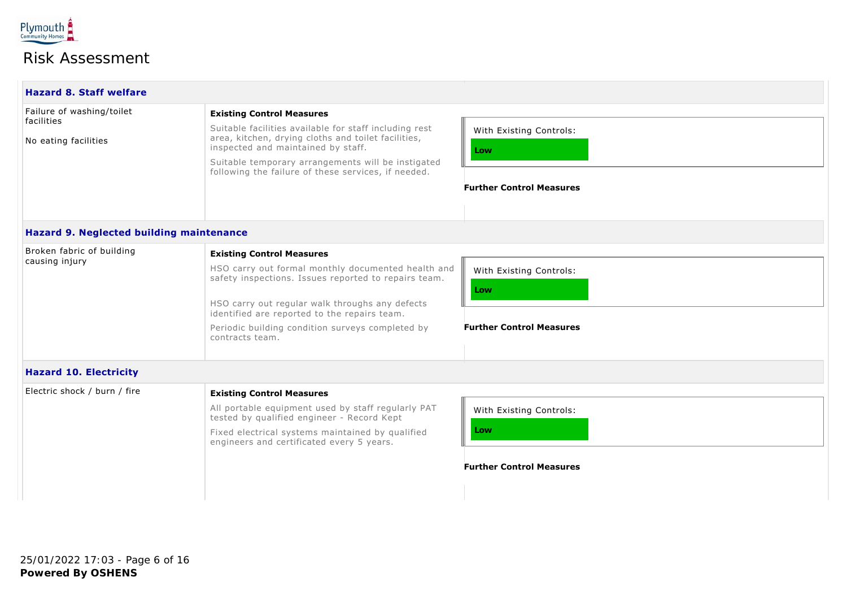

| <b>Hazard 8. Staff welfare</b>           |                                                                                                            |                                 |  |  |  |
|------------------------------------------|------------------------------------------------------------------------------------------------------------|---------------------------------|--|--|--|
| Failure of washing/toilet                | <b>Existing Control Measures</b>                                                                           |                                 |  |  |  |
| facilities                               | Suitable facilities available for staff including rest                                                     | With Existing Controls:         |  |  |  |
| No eating facilities                     | area, kitchen, drying cloths and toilet facilities,<br>inspected and maintained by staff.                  | Low                             |  |  |  |
|                                          | Suitable temporary arrangements will be instigated<br>following the failure of these services, if needed.  |                                 |  |  |  |
|                                          |                                                                                                            | <b>Further Control Measures</b> |  |  |  |
|                                          |                                                                                                            |                                 |  |  |  |
| Hazard 9. Neglected building maintenance |                                                                                                            |                                 |  |  |  |
| Broken fabric of building                | <b>Existing Control Measures</b>                                                                           |                                 |  |  |  |
| causing injury                           | HSO carry out formal monthly documented health and<br>safety inspections. Issues reported to repairs team. | With Existing Controls:         |  |  |  |
|                                          |                                                                                                            | Low                             |  |  |  |
|                                          | HSO carry out regular walk throughs any defects<br>identified are reported to the repairs team.            |                                 |  |  |  |
|                                          | Periodic building condition surveys completed by<br>contracts team.                                        | <b>Further Control Measures</b> |  |  |  |
|                                          |                                                                                                            |                                 |  |  |  |
| <b>Hazard 10. Electricity</b>            |                                                                                                            |                                 |  |  |  |
| Electric shock / burn / fire             | <b>Existing Control Measures</b>                                                                           |                                 |  |  |  |
|                                          | All portable equipment used by staff regularly PAT<br>tested by qualified engineer - Record Kept           | With Existing Controls:         |  |  |  |
|                                          | Fixed electrical systems maintained by qualified<br>engineers and certificated every 5 years.              | Low                             |  |  |  |
|                                          |                                                                                                            | <b>Further Control Measures</b> |  |  |  |
|                                          |                                                                                                            |                                 |  |  |  |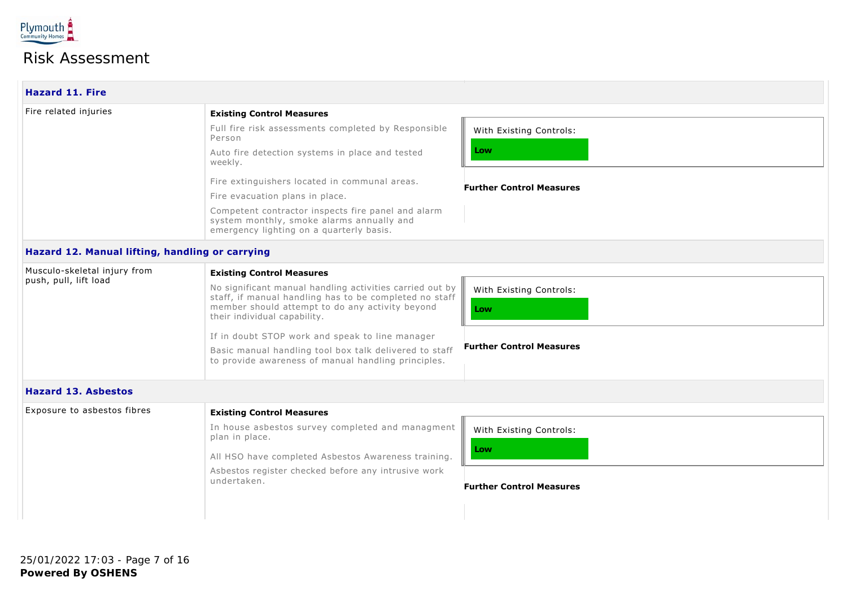

| <b>Existing Control Measures</b>                                                                                                                                                                      |                                 |
|-------------------------------------------------------------------------------------------------------------------------------------------------------------------------------------------------------|---------------------------------|
| Full fire risk assessments completed by Responsible<br>Person                                                                                                                                         | With Existing Controls:         |
| Auto fire detection systems in place and tested<br>weekly.                                                                                                                                            | Low                             |
| Fire extinguishers located in communal areas.                                                                                                                                                         | <b>Further Control Measures</b> |
| Fire evacuation plans in place.                                                                                                                                                                       |                                 |
| Competent contractor inspects fire panel and alarm<br>system monthly, smoke alarms annually and<br>emergency lighting on a quarterly basis.                                                           |                                 |
| Hazard 12. Manual lifting, handling or carrying                                                                                                                                                       |                                 |
| <b>Existing Control Measures</b>                                                                                                                                                                      |                                 |
| No significant manual handling activities carried out by<br>staff, if manual handling has to be completed no staff<br>member should attempt to do any activity beyond<br>their individual capability. | With Existing Controls:<br>Low  |
| If in doubt STOP work and speak to line manager                                                                                                                                                       |                                 |
| Basic manual handling tool box talk delivered to staff<br>to provide awareness of manual handling principles.                                                                                         | <b>Further Control Measures</b> |
|                                                                                                                                                                                                       |                                 |
| <b>Existing Control Measures</b>                                                                                                                                                                      |                                 |
| In house asbestos survey completed and managment<br>plan in place.                                                                                                                                    | With Existing Controls:         |
| All HSO have completed Asbestos Awareness training.                                                                                                                                                   | Low                             |
| Asbestos register checked before any intrusive work<br>undertaken.                                                                                                                                    | <b>Further Control Measures</b> |
|                                                                                                                                                                                                       |                                 |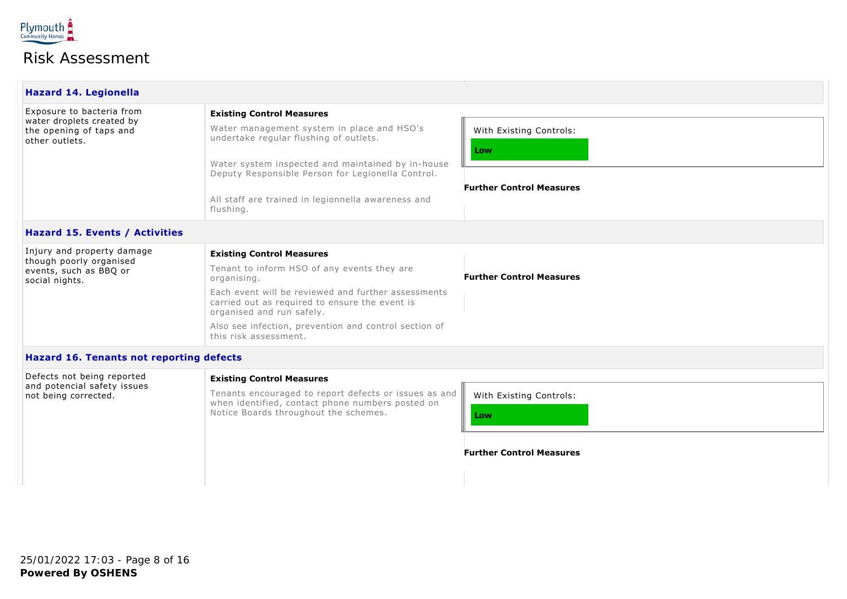

| <b>Hazard 14. Legionella</b>                                                                        |                                                                                                                                                                                                                                                                                                                             |                                                                   |
|-----------------------------------------------------------------------------------------------------|-----------------------------------------------------------------------------------------------------------------------------------------------------------------------------------------------------------------------------------------------------------------------------------------------------------------------------|-------------------------------------------------------------------|
| Exposure to bacteria from<br>water droplets created by<br>the opening of taps and<br>other outlets. | <b>Existing Control Measures</b><br>Water management system in place and HSO's<br>undertake regular flushing of outlets.<br>Water system inspected and maintained by in-house<br>Deputy Responsible Person for Legionella Control.<br>All staff are trained in legionnella awareness and<br>flushing.                       | With Existing Controls:<br>Low<br><b>Further Control Measures</b> |
| <b>Hazard 15. Events / Activities</b>                                                               |                                                                                                                                                                                                                                                                                                                             |                                                                   |
| Injury and property damage<br>though poorly organised<br>events, such as BBQ or<br>social nights.   | <b>Existing Control Measures</b><br>Tenant to inform HSO of any events they are<br>organising.<br>Each event will be reviewed and further assessments<br>carried out as required to ensure the event is<br>organised and run safely.<br>Also see infection, prevention and control section of<br>this risk assessment.      | <b>Further Control Measures</b>                                   |
| Hazard 16. Tenants not reporting defects                                                            |                                                                                                                                                                                                                                                                                                                             |                                                                   |
| Defects not being reported<br>and potencial safety issues<br>not being corrected.                   | <b>Existing Control Measures</b><br>Tenants encouraged to report defects or issues as and<br>The contribution of the contract of the contract of the contract of the contract of the contract of the contract of the contract of the contract of the contract of the contract of the contract of the contract of the contra | With Existing Controls:                                           |

when identified, contact phone numbers posted on

Notice Boards throughout the schemes.

| With Existing Controls: |  |  |  |  |  |  |  |  |
|-------------------------|--|--|--|--|--|--|--|--|
| Low                     |  |  |  |  |  |  |  |  |
|                         |  |  |  |  |  |  |  |  |

**Further Control Measures**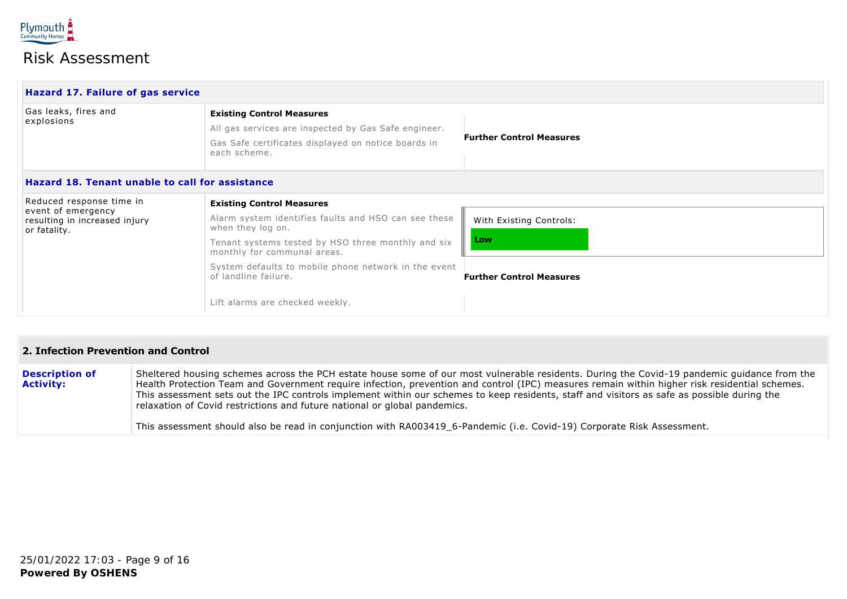

| Hazard 17. Failure of gas service                                                               |                                                                                                                                                                                                                                                                                                                       |                                                                   |
|-------------------------------------------------------------------------------------------------|-----------------------------------------------------------------------------------------------------------------------------------------------------------------------------------------------------------------------------------------------------------------------------------------------------------------------|-------------------------------------------------------------------|
| Gas leaks, fires and<br>explosions                                                              | <b>Existing Control Measures</b><br>All gas services are inspected by Gas Safe engineer.<br>Gas Safe certificates displayed on notice boards in<br>each scheme.                                                                                                                                                       | <b>Further Control Measures</b>                                   |
| Hazard 18. Tenant unable to call for assistance                                                 |                                                                                                                                                                                                                                                                                                                       |                                                                   |
| Reduced response time in<br>event of emergency<br>resulting in increased injury<br>or fatality. | <b>Existing Control Measures</b><br>Alarm system identifies faults and HSO can see these<br>when they log on.<br>Tenant systems tested by HSO three monthly and six<br>monthly for communal areas.<br>System defaults to mobile phone network in the event<br>of landline failure.<br>Lift alarms are checked weekly. | With Existing Controls:<br>Low<br><b>Further Control Measures</b> |

#### **2. Infection Prevention and Control**

| <b>Description of</b><br><b>Activity:</b> | Sheltered housing schemes across the PCH estate house some of our most vulnerable residents. During the Covid-19 pandemic guidance from the<br>Health Protection Team and Government require infection, prevention and control (IPC) measures remain within higher risk residential schemes.<br>This assessment sets out the IPC controls implement within our schemes to keep residents, staff and visitors as safe as possible during the<br>relaxation of Covid restrictions and future national or global pandemics. |
|-------------------------------------------|--------------------------------------------------------------------------------------------------------------------------------------------------------------------------------------------------------------------------------------------------------------------------------------------------------------------------------------------------------------------------------------------------------------------------------------------------------------------------------------------------------------------------|
|                                           | This assessment should also be read in conjunction with RA003419 6-Pandemic (i.e. Covid-19) Corporate Risk Assessment.                                                                                                                                                                                                                                                                                                                                                                                                   |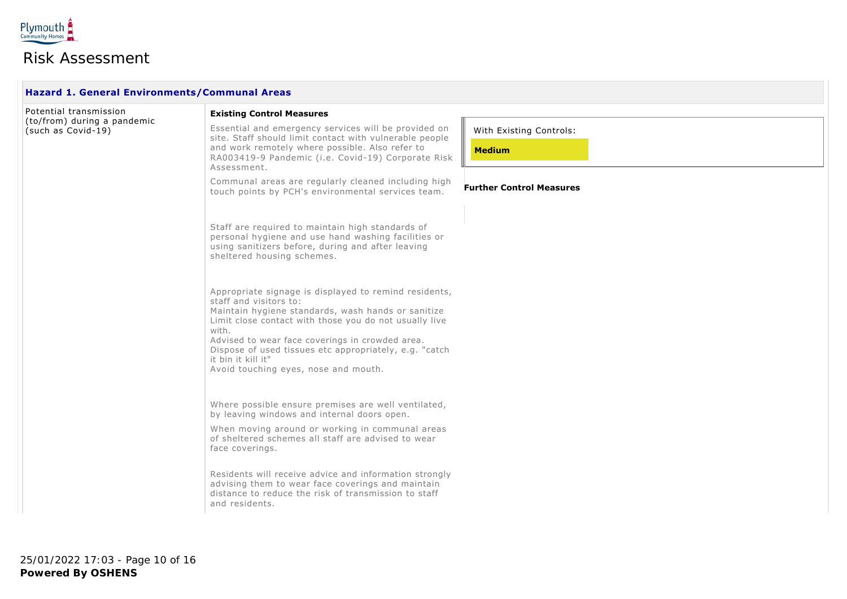

**The Contract** 

### Risk Assessment

| <b>Hazard 1. General Environments/Communal Areas</b> |                                                                                                                                                                                                                                                                                                                                                                                     |                                 |  |  |  |  |  |
|------------------------------------------------------|-------------------------------------------------------------------------------------------------------------------------------------------------------------------------------------------------------------------------------------------------------------------------------------------------------------------------------------------------------------------------------------|---------------------------------|--|--|--|--|--|
| Potential transmission                               | <b>Existing Control Measures</b>                                                                                                                                                                                                                                                                                                                                                    |                                 |  |  |  |  |  |
| (to/from) during a pandemic<br>(such as Covid-19)    | Essential and emergency services will be provided on<br>site. Staff should limit contact with vulnerable people                                                                                                                                                                                                                                                                     | With Existing Controls:         |  |  |  |  |  |
|                                                      | and work remotely where possible. Also refer to<br>RA003419-9 Pandemic (i.e. Covid-19) Corporate Risk<br>Assessment.                                                                                                                                                                                                                                                                | <b>Medium</b>                   |  |  |  |  |  |
|                                                      | Communal areas are regularly cleaned including high<br>touch points by PCH's environmental services team.                                                                                                                                                                                                                                                                           | <b>Further Control Measures</b> |  |  |  |  |  |
|                                                      | Staff are required to maintain high standards of<br>personal hygiene and use hand washing facilities or<br>using sanitizers before, during and after leaving<br>sheltered housing schemes.                                                                                                                                                                                          |                                 |  |  |  |  |  |
|                                                      | Appropriate signage is displayed to remind residents,<br>staff and visitors to:<br>Maintain hygiene standards, wash hands or sanitize<br>Limit close contact with those you do not usually live<br>with.<br>Advised to wear face coverings in crowded area.<br>Dispose of used tissues etc appropriately, e.g. "catch<br>it bin it kill it"<br>Avoid touching eyes, nose and mouth. |                                 |  |  |  |  |  |
|                                                      | Where possible ensure premises are well ventilated,<br>by leaving windows and internal doors open.                                                                                                                                                                                                                                                                                  |                                 |  |  |  |  |  |
|                                                      | When moving around or working in communal areas<br>of sheltered schemes all staff are advised to wear<br>face coverings.                                                                                                                                                                                                                                                            |                                 |  |  |  |  |  |
|                                                      | Residents will receive advice and information strongly<br>advising them to wear face coverings and maintain<br>distance to reduce the risk of transmission to staff<br>and residents.                                                                                                                                                                                               |                                 |  |  |  |  |  |

**Powered By OSHENS** 25/01/2022 17:03 - Page 10 of 16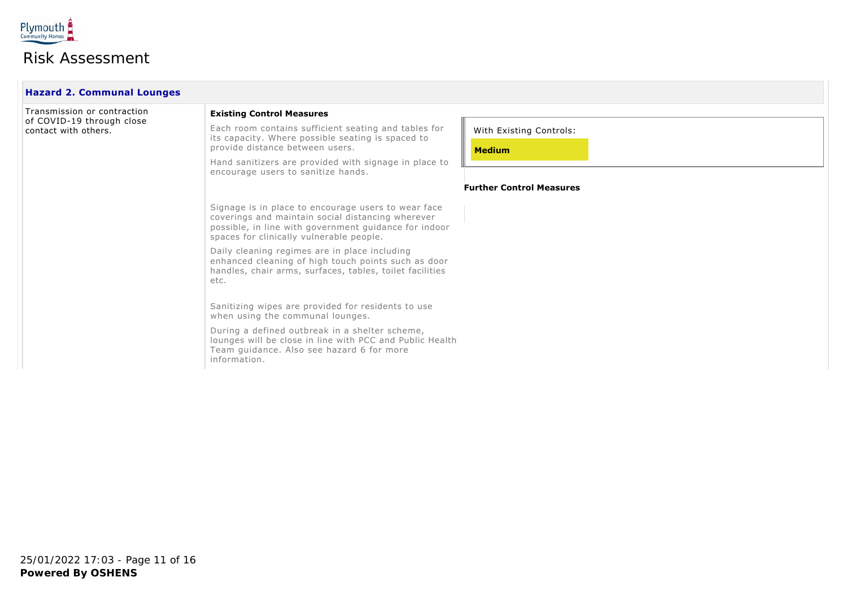

 $\Box$ 

| <b>Hazard 2. Communal Lounges</b>                                                |                                                                                                                                                                                                               |                                          |  |  |  |  |  |
|----------------------------------------------------------------------------------|---------------------------------------------------------------------------------------------------------------------------------------------------------------------------------------------------------------|------------------------------------------|--|--|--|--|--|
| Transmission or contraction<br>of COVID-19 through close<br>contact with others. | <b>Existing Control Measures</b>                                                                                                                                                                              |                                          |  |  |  |  |  |
|                                                                                  | Each room contains sufficient seating and tables for<br>its capacity. Where possible seating is spaced to<br>provide distance between users.                                                                  | With Existing Controls:<br><b>Medium</b> |  |  |  |  |  |
|                                                                                  | Hand sanitizers are provided with signage in place to<br>encourage users to sanitize hands.                                                                                                                   |                                          |  |  |  |  |  |
|                                                                                  |                                                                                                                                                                                                               | <b>Further Control Measures</b>          |  |  |  |  |  |
|                                                                                  | Signage is in place to encourage users to wear face<br>coverings and maintain social distancing wherever<br>possible, in line with government guidance for indoor<br>spaces for clinically vulnerable people. |                                          |  |  |  |  |  |
|                                                                                  | Daily cleaning regimes are in place including<br>enhanced cleaning of high touch points such as door<br>handles, chair arms, surfaces, tables, toilet facilities<br>etc.                                      |                                          |  |  |  |  |  |
|                                                                                  | Sanitizing wipes are provided for residents to use<br>when using the communal lounges.                                                                                                                        |                                          |  |  |  |  |  |
|                                                                                  | During a defined outbreak in a shelter scheme,<br>lounges will be close in line with PCC and Public Health<br>Team guidance. Also see hazard 6 for more<br>information.                                       |                                          |  |  |  |  |  |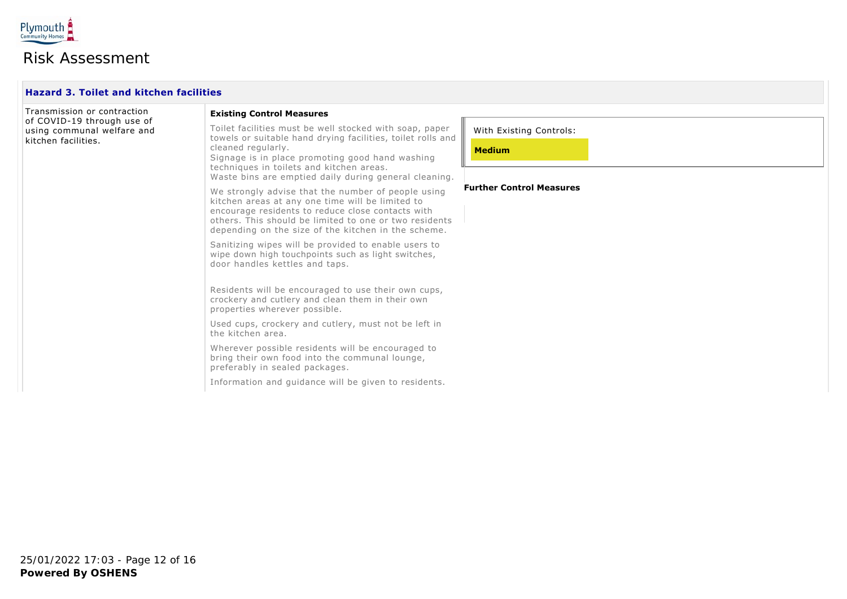

 $\Box$ 

| Transmission or contraction<br>of COVID-19 through use of<br>using communal welfare and<br>kitchen facilities. | <b>Existing Control Measures</b>                                                                                                                                                                                                                                                                     |                                          |  |  |  |  |
|----------------------------------------------------------------------------------------------------------------|------------------------------------------------------------------------------------------------------------------------------------------------------------------------------------------------------------------------------------------------------------------------------------------------------|------------------------------------------|--|--|--|--|
|                                                                                                                | Toilet facilities must be well stocked with soap, paper<br>towels or suitable hand drying facilities, toilet rolls and<br>cleaned regularly.<br>Signage is in place promoting good hand washing<br>techniques in toilets and kitchen areas.<br>Waste bins are emptied daily during general cleaning. | With Existing Controls:<br><b>Medium</b> |  |  |  |  |
|                                                                                                                | We strongly advise that the number of people using<br>kitchen areas at any one time will be limited to<br>encourage residents to reduce close contacts with<br>others. This should be limited to one or two residents<br>depending on the size of the kitchen in the scheme.                         | <b>Further Control Measures</b>          |  |  |  |  |
|                                                                                                                | Sanitizing wipes will be provided to enable users to<br>wipe down high touchpoints such as light switches,<br>door handles kettles and taps.                                                                                                                                                         |                                          |  |  |  |  |
|                                                                                                                | Residents will be encouraged to use their own cups,<br>crockery and cutlery and clean them in their own<br>properties wherever possible.                                                                                                                                                             |                                          |  |  |  |  |
|                                                                                                                | Used cups, crockery and cutlery, must not be left in<br>the kitchen area.                                                                                                                                                                                                                            |                                          |  |  |  |  |
|                                                                                                                | Wherever possible residents will be encouraged to<br>bring their own food into the communal lounge,<br>preferably in sealed packages.                                                                                                                                                                |                                          |  |  |  |  |
|                                                                                                                | Information and quidance will be given to residents.                                                                                                                                                                                                                                                 |                                          |  |  |  |  |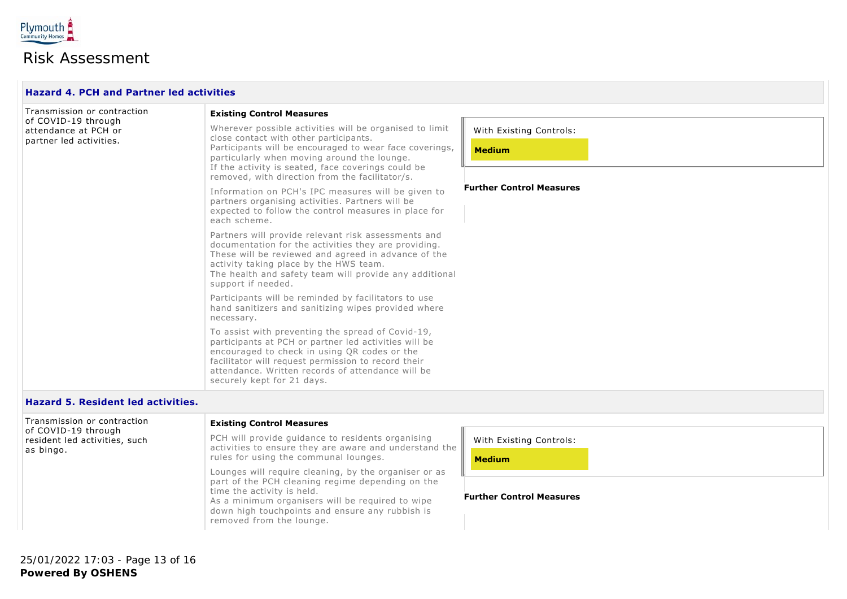

| <b>Hazard 4. PCH and Partner led activities</b>                                                       |                                                                                                                                                                                                                                                                                                                      |                                          |  |  |  |  |  |
|-------------------------------------------------------------------------------------------------------|----------------------------------------------------------------------------------------------------------------------------------------------------------------------------------------------------------------------------------------------------------------------------------------------------------------------|------------------------------------------|--|--|--|--|--|
| Transmission or contraction<br>of COVID-19 through<br>attendance at PCH or<br>partner led activities. | <b>Existing Control Measures</b>                                                                                                                                                                                                                                                                                     |                                          |  |  |  |  |  |
|                                                                                                       | Wherever possible activities will be organised to limit<br>close contact with other participants.<br>Participants will be encouraged to wear face coverings,<br>particularly when moving around the lounge.<br>If the activity is seated, face coverings could be<br>removed, with direction from the facilitator/s. | With Existing Controls:<br><b>Medium</b> |  |  |  |  |  |
|                                                                                                       | Information on PCH's IPC measures will be given to<br>partners organising activities. Partners will be<br>expected to follow the control measures in place for<br>each scheme.                                                                                                                                       | <b>Further Control Measures</b>          |  |  |  |  |  |
|                                                                                                       | Partners will provide relevant risk assessments and<br>documentation for the activities they are providing.<br>These will be reviewed and agreed in advance of the<br>activity taking place by the HWS team.<br>The health and safety team will provide any additional<br>support if needed.                         |                                          |  |  |  |  |  |
|                                                                                                       | Participants will be reminded by facilitators to use<br>hand sanitizers and sanitizing wipes provided where<br>necessary.                                                                                                                                                                                            |                                          |  |  |  |  |  |
|                                                                                                       | To assist with preventing the spread of Covid-19,<br>participants at PCH or partner led activities will be<br>encouraged to check in using QR codes or the<br>facilitator will request permission to record their<br>attendance. Written records of attendance will be<br>securely kept for 21 days.                 |                                          |  |  |  |  |  |

#### **Hazard 5. Resident led activities.**

| Transmission or contraction<br>of COVID-19 through<br>resident led activities, such<br>as bingo. | <b>Existing Control Measures</b>                                                                                                                                                                                                                                           |                                 |
|--------------------------------------------------------------------------------------------------|----------------------------------------------------------------------------------------------------------------------------------------------------------------------------------------------------------------------------------------------------------------------------|---------------------------------|
|                                                                                                  | PCH will provide guidance to residents organising<br>activities to ensure they are aware and understand the $\parallel$                                                                                                                                                    | With Existing Controls:         |
|                                                                                                  | rules for using the communal lounges.                                                                                                                                                                                                                                      | <b>Medium</b>                   |
|                                                                                                  | Lounges will require cleaning, by the organiser or as<br>part of the PCH cleaning regime depending on the<br>time the activity is held.<br>As a minimum organisers will be required to wipe<br>down high touchpoints and ensure any rubbish is<br>removed from the lounge. | <b>Further Control Measures</b> |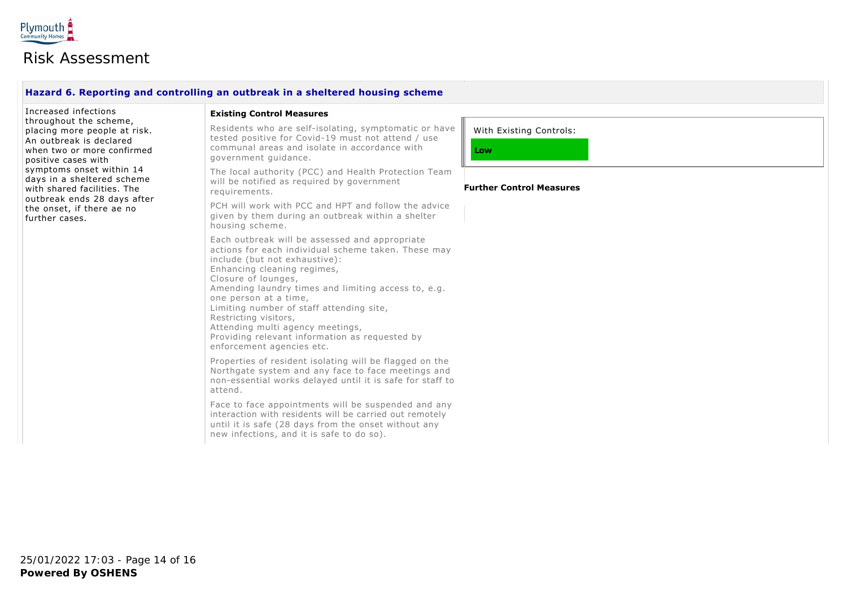

#### **Hazard 6. Reporting and controlling an outbreak in a sheltered housing scheme**

Increased infections throughout the scheme, placing more people at risk. An outbreak is declared when two or more confirmed positive cases with symptoms onset within 14 days in a sheltered scheme with shared facilities. The outbreak ends 28 days after the onset, if there ae no further cases.

#### **Existing Control Measures**

Residents who are self-isolating, symptomatic or have tested positive for Covid-19 must not attend / use communal areas and isolate in accordance with government guidance.

The local authority (PCC) and Health Protection Team will be notified as required by government requirements.

PCH will work with PCC and HPT and follow the advice given by them during an outbreak within a shelter housing scheme.

Each outbreak will be assessed and appropriate actions for each individual scheme taken. These may include (but not exhaustive): Enhancing cleaning regimes, Closure of lounges, Amending laundry times and limiting access to, e.g. one person at a time, Limiting number of staff attending site, Restricting visitors, Attending multi agency meetings, Providing relevant information as requested by enforcement agencies etc.

Properties of resident isolating will be flagged on the Northgate system and any face to face meetings and non-essential works delayed until it is safe for staff to attend.

Face to face appointments will be suspended and any interaction with residents will be carried out remotely until it is safe (28 days from the onset without any new infections, and it is safe to do so).

With Existing Controls:

**Low**

#### **Further Control Measures**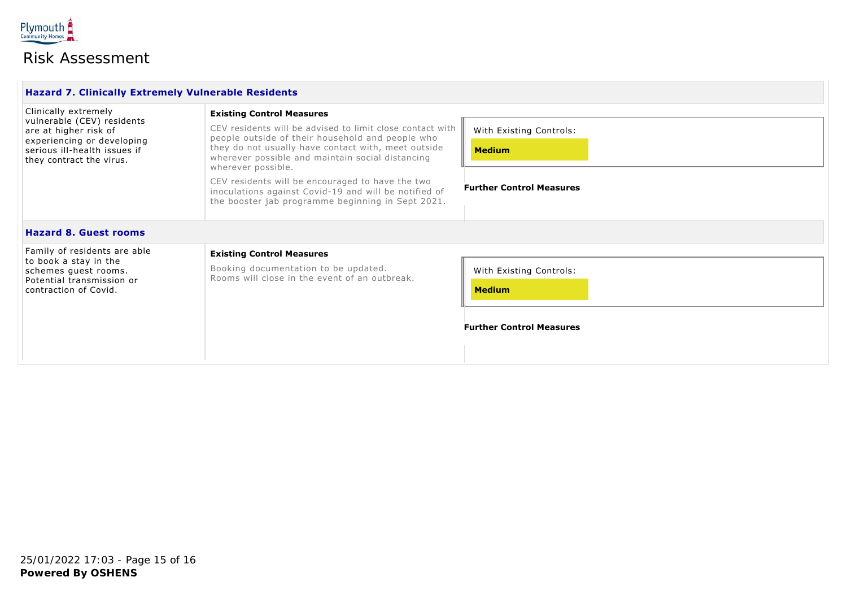

| <b>Hazard 7. Clinically Extremely Vulnerable Residents</b>                                                                                                            |                                                                                                                                                                                                                                                                                                                                                                                                                                                      |                                                                             |
|-----------------------------------------------------------------------------------------------------------------------------------------------------------------------|------------------------------------------------------------------------------------------------------------------------------------------------------------------------------------------------------------------------------------------------------------------------------------------------------------------------------------------------------------------------------------------------------------------------------------------------------|-----------------------------------------------------------------------------|
| Clinically extremely<br>vulnerable (CEV) residents<br>are at higher risk of<br>experiencing or developing<br>serious ill-health issues if<br>they contract the virus. | <b>Existing Control Measures</b><br>CEV residents will be advised to limit close contact with<br>people outside of their household and people who<br>they do not usually have contact with, meet outside<br>wherever possible and maintain social distancing<br>wherever possible.<br>CEV residents will be encouraged to have the two<br>inoculations against Covid-19 and will be notified of<br>the booster jab programme beginning in Sept 2021. | With Existing Controls:<br><b>Medium</b><br><b>Further Control Measures</b> |
| <b>Hazard 8. Guest rooms</b>                                                                                                                                          |                                                                                                                                                                                                                                                                                                                                                                                                                                                      |                                                                             |
| Family of residents are able<br>to book a stay in the<br>schemes guest rooms.<br>Potential transmission or<br>contraction of Covid.                                   | <b>Existing Control Measures</b><br>Booking documentation to be updated.<br>Rooms will close in the event of an outbreak.                                                                                                                                                                                                                                                                                                                            | With Existing Controls:<br><b>Medium</b><br><b>Further Control Measures</b> |